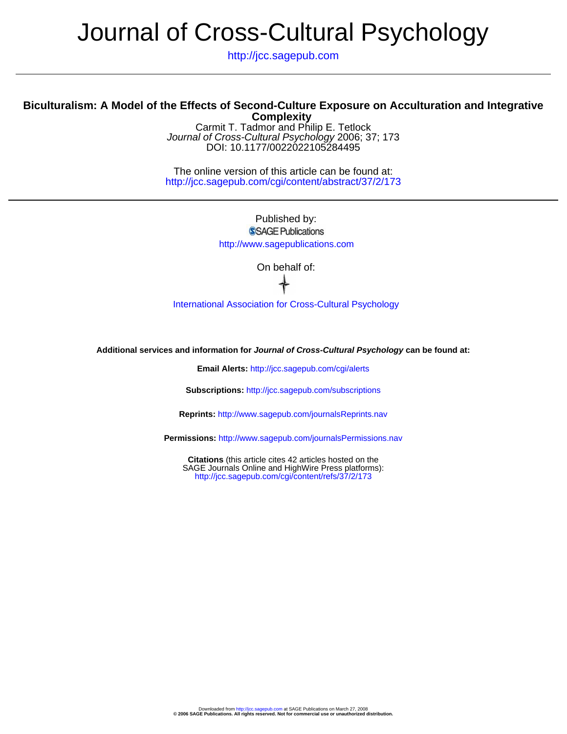# Journal of Cross-Cultural Psychology

http://jcc.sagepub.com

# **Complexity Biculturalism: A Model of the Effects of Second-Culture Exposure on Acculturation and Integrative**

DOI: 10.1177/0022022105284495 Journal of Cross-Cultural Psychology 2006; 37; 173 Carmit T. Tadmor and Philip E. Tetlock

http://jcc.sagepub.com/cgi/content/abstract/37/2/173 The online version of this article can be found at:

> Published by: SSAGE Publications http://www.sagepublications.com

> > On behalf of:

[International Association for Cross-Cultural Psychology](http://www.iaccp.org/)

**Additional services and information for Journal of Cross-Cultural Psychology can be found at:**

**Email Alerts:** <http://jcc.sagepub.com/cgi/alerts>

**Subscriptions:** <http://jcc.sagepub.com/subscriptions>

**Reprints:** <http://www.sagepub.com/journalsReprints.nav>

**Permissions:** <http://www.sagepub.com/journalsPermissions.nav>

<http://jcc.sagepub.com/cgi/content/refs/37/2/173> SAGE Journals Online and HighWire Press platforms): **Citations** (this article cites 42 articles hosted on the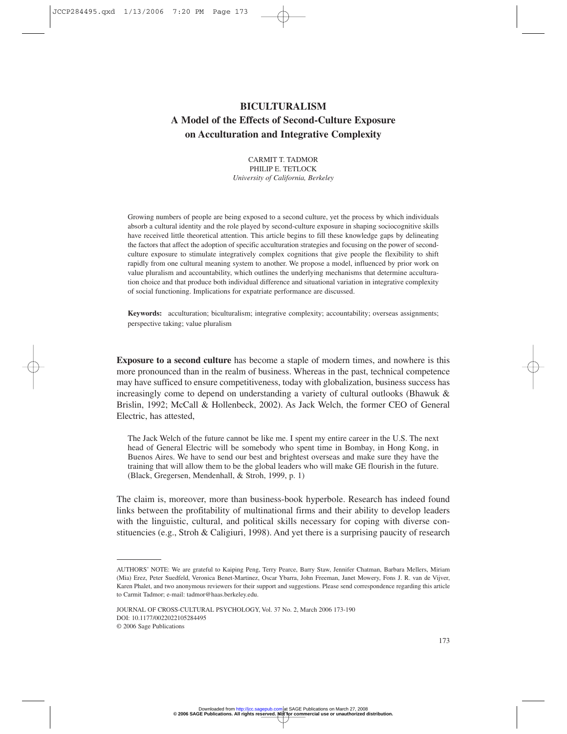# **BICULTURALISM A Model of the Effects of Second-Culture Exposure on Acculturation and Integrative Complexity**

#### CARMIT T. TADMOR PHILIP E. TETLOCK

*University of California, Berkeley*

Growing numbers of people are being exposed to a second culture, yet the process by which individuals absorb a cultural identity and the role played by second-culture exposure in shaping sociocognitive skills have received little theoretical attention. This article begins to fill these knowledge gaps by delineating the factors that affect the adoption of specific acculturation strategies and focusing on the power of secondculture exposure to stimulate integratively complex cognitions that give people the flexibility to shift rapidly from one cultural meaning system to another. We propose a model, influenced by prior work on value pluralism and accountability, which outlines the underlying mechanisms that determine acculturation choice and that produce both individual difference and situational variation in integrative complexity of social functioning. Implications for expatriate performance are discussed.

**Keywords:** acculturation; biculturalism; integrative complexity; accountability; overseas assignments; perspective taking; value pluralism

**Exposure to a second culture** has become a staple of modern times, and nowhere is this more pronounced than in the realm of business. Whereas in the past, technical competence may have sufficed to ensure competitiveness, today with globalization, business success has increasingly come to depend on understanding a variety of cultural outlooks (Bhawuk & Brislin, 1992; McCall & Hollenbeck, 2002). As Jack Welch, the former CEO of General Electric, has attested,

The Jack Welch of the future cannot be like me. I spent my entire career in the U.S. The next head of General Electric will be somebody who spent time in Bombay, in Hong Kong, in Buenos Aires. We have to send our best and brightest overseas and make sure they have the training that will allow them to be the global leaders who will make GE flourish in the future. (Black, Gregersen, Mendenhall, & Stroh, 1999, p. 1)

The claim is, moreover, more than business-book hyperbole. Research has indeed found links between the profitability of multinational firms and their ability to develop leaders with the linguistic, cultural, and political skills necessary for coping with diverse constituencies (e.g., Stroh & Caligiuri, 1998). And yet there is a surprising paucity of research

AUTHORS' NOTE: We are grateful to Kaiping Peng, Terry Pearce, Barry Staw, Jennifer Chatman, Barbara Mellers, Miriam (Mia) Erez, Peter Suedfeld, Veronica Benet-Martinez, Oscar Ybarra, John Freeman, Janet Mowery, Fons J. R. van de Vijver, Karen Phalet, and two anonymous reviewers for their support and suggestions. Please send correspondence regarding this article to Carmit Tadmor; e-mail: tadmor@haas.berkeley.edu.

JOURNAL OF CROSS-CULTURAL PSYCHOLOGY, Vol. 37 No. 2, March 2006 173-190 DOI: 10.1177/0022022105284495 © 2006 Sage Publications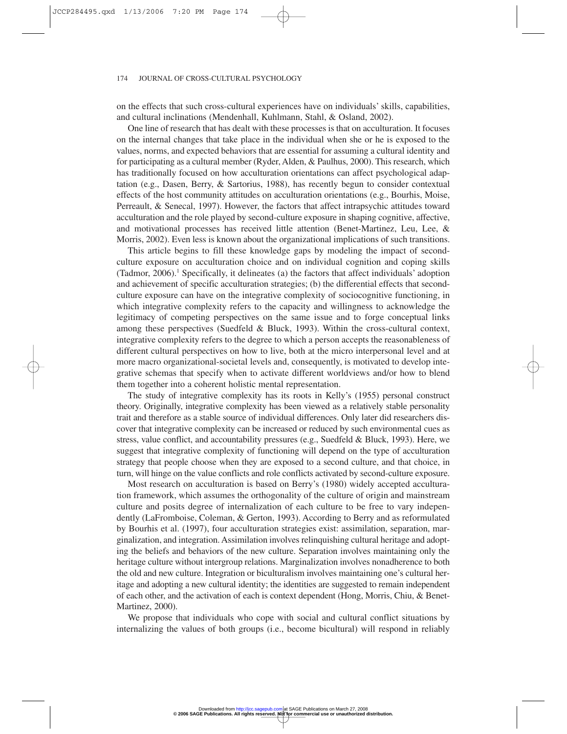on the effects that such cross-cultural experiences have on individuals' skills, capabilities, and cultural inclinations (Mendenhall, Kuhlmann, Stahl, & Osland, 2002).

One line of research that has dealt with these processes is that on acculturation. It focuses on the internal changes that take place in the individual when she or he is exposed to the values, norms, and expected behaviors that are essential for assuming a cultural identity and for participating as a cultural member (Ryder, Alden, & Paulhus, 2000). This research, which has traditionally focused on how acculturation orientations can affect psychological adaptation (e.g., Dasen, Berry, & Sartorius, 1988), has recently begun to consider contextual effects of the host community attitudes on acculturation orientations (e.g., Bourhis, Moise, Perreault, & Senecal, 1997). However, the factors that affect intrapsychic attitudes toward acculturation and the role played by second-culture exposure in shaping cognitive, affective, and motivational processes has received little attention (Benet-Martinez, Leu, Lee, & Morris, 2002). Even less is known about the organizational implications of such transitions.

This article begins to fill these knowledge gaps by modeling the impact of secondculture exposure on acculturation choice and on individual cognition and coping skills (Tadmor, 2006).1 Specifically, it delineates (a) the factors that affect individuals' adoption and achievement of specific acculturation strategies; (b) the differential effects that secondculture exposure can have on the integrative complexity of sociocognitive functioning, in which integrative complexity refers to the capacity and willingness to acknowledge the legitimacy of competing perspectives on the same issue and to forge conceptual links among these perspectives (Suedfeld & Bluck, 1993). Within the cross-cultural context, integrative complexity refers to the degree to which a person accepts the reasonableness of different cultural perspectives on how to live, both at the micro interpersonal level and at more macro organizational-societal levels and, consequently, is motivated to develop integrative schemas that specify when to activate different worldviews and/or how to blend them together into a coherent holistic mental representation.

The study of integrative complexity has its roots in Kelly's (1955) personal construct theory. Originally, integrative complexity has been viewed as a relatively stable personality trait and therefore as a stable source of individual differences. Only later did researchers discover that integrative complexity can be increased or reduced by such environmental cues as stress, value conflict, and accountability pressures (e.g., Suedfeld & Bluck, 1993). Here, we suggest that integrative complexity of functioning will depend on the type of acculturation strategy that people choose when they are exposed to a second culture, and that choice, in turn, will hinge on the value conflicts and role conflicts activated by second-culture exposure.

Most research on acculturation is based on Berry's (1980) widely accepted acculturation framework, which assumes the orthogonality of the culture of origin and mainstream culture and posits degree of internalization of each culture to be free to vary independently (LaFromboise, Coleman, & Gerton, 1993). According to Berry and as reformulated by Bourhis et al. (1997), four acculturation strategies exist: assimilation, separation, marginalization, and integration. Assimilation involves relinquishing cultural heritage and adopting the beliefs and behaviors of the new culture. Separation involves maintaining only the heritage culture without intergroup relations. Marginalization involves nonadherence to both the old and new culture. Integration or biculturalism involves maintaining one's cultural heritage and adopting a new cultural identity; the identities are suggested to remain independent of each other, and the activation of each is context dependent (Hong, Morris, Chiu, & Benet-Martinez, 2000).

We propose that individuals who cope with social and cultural conflict situations by internalizing the values of both groups (i.e., become bicultural) will respond in reliably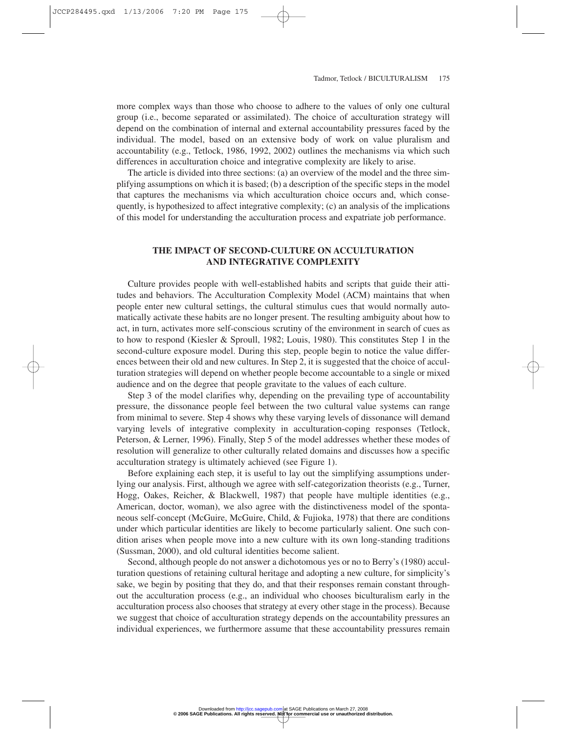more complex ways than those who choose to adhere to the values of only one cultural group (i.e., become separated or assimilated). The choice of acculturation strategy will depend on the combination of internal and external accountability pressures faced by the individual. The model, based on an extensive body of work on value pluralism and accountability (e.g., Tetlock, 1986, 1992, 2002) outlines the mechanisms via which such differences in acculturation choice and integrative complexity are likely to arise.

The article is divided into three sections: (a) an overview of the model and the three simplifying assumptions on which it is based; (b) a description of the specific steps in the model that captures the mechanisms via which acculturation choice occurs and, which consequently, is hypothesized to affect integrative complexity; (c) an analysis of the implications of this model for understanding the acculturation process and expatriate job performance.

# **THE IMPACT OF SECOND-CULTURE ON ACCULTURATION AND INTEGRATIVE COMPLEXITY**

Culture provides people with well-established habits and scripts that guide their attitudes and behaviors. The Acculturation Complexity Model (ACM) maintains that when people enter new cultural settings, the cultural stimulus cues that would normally automatically activate these habits are no longer present. The resulting ambiguity about how to act, in turn, activates more self-conscious scrutiny of the environment in search of cues as to how to respond (Kiesler & Sproull, 1982; Louis, 1980). This constitutes Step 1 in the second-culture exposure model. During this step, people begin to notice the value differences between their old and new cultures. In Step 2, it is suggested that the choice of acculturation strategies will depend on whether people become accountable to a single or mixed audience and on the degree that people gravitate to the values of each culture.

Step 3 of the model clarifies why, depending on the prevailing type of accountability pressure, the dissonance people feel between the two cultural value systems can range from minimal to severe. Step 4 shows why these varying levels of dissonance will demand varying levels of integrative complexity in acculturation-coping responses (Tetlock, Peterson, & Lerner, 1996). Finally, Step 5 of the model addresses whether these modes of resolution will generalize to other culturally related domains and discusses how a specific acculturation strategy is ultimately achieved (see Figure 1).

Before explaining each step, it is useful to lay out the simplifying assumptions underlying our analysis. First, although we agree with self-categorization theorists (e.g., Turner, Hogg, Oakes, Reicher, & Blackwell, 1987) that people have multiple identities (e.g., American, doctor, woman), we also agree with the distinctiveness model of the spontaneous self-concept (McGuire, McGuire, Child, & Fujioka, 1978) that there are conditions under which particular identities are likely to become particularly salient. One such condition arises when people move into a new culture with its own long-standing traditions (Sussman, 2000), and old cultural identities become salient.

Second, although people do not answer a dichotomous yes or no to Berry's (1980) acculturation questions of retaining cultural heritage and adopting a new culture, for simplicity's sake, we begin by positing that they do, and that their responses remain constant throughout the acculturation process (e.g., an individual who chooses biculturalism early in the acculturation process also chooses that strategy at every other stage in the process). Because we suggest that choice of acculturation strategy depends on the accountability pressures an individual experiences, we furthermore assume that these accountability pressures remain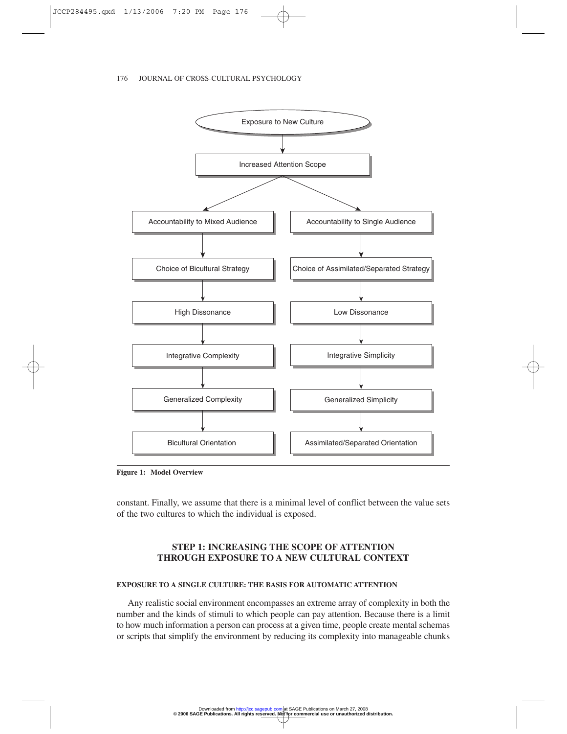

**Figure 1: Model Overview**

constant. Finally, we assume that there is a minimal level of conflict between the value sets of the two cultures to which the individual is exposed.

# **STEP 1: INCREASING THE SCOPE OF ATTENTION THROUGH EXPOSURE TO A NEW CULTURAL CONTEXT**

#### **EXPOSURE TO A SINGLE CULTURE: THE BASIS FOR AUTOMATIC ATTENTION**

Any realistic social environment encompasses an extreme array of complexity in both the number and the kinds of stimuli to which people can pay attention. Because there is a limit to how much information a person can process at a given time, people create mental schemas or scripts that simplify the environment by reducing its complexity into manageable chunks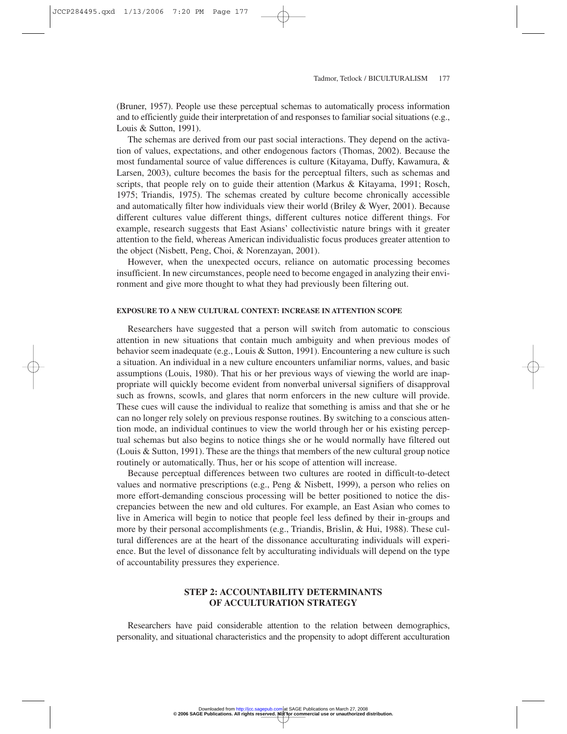(Bruner, 1957). People use these perceptual schemas to automatically process information and to efficiently guide their interpretation of and responses to familiar social situations (e.g., Louis & Sutton, 1991).

The schemas are derived from our past social interactions. They depend on the activation of values, expectations, and other endogenous factors (Thomas, 2002). Because the most fundamental source of value differences is culture (Kitayama, Duffy, Kawamura, & Larsen, 2003), culture becomes the basis for the perceptual filters, such as schemas and scripts, that people rely on to guide their attention (Markus & Kitayama, 1991; Rosch, 1975; Triandis, 1975). The schemas created by culture become chronically accessible and automatically filter how individuals view their world (Briley  $& Wyer, 2001$ ). Because different cultures value different things, different cultures notice different things. For example, research suggests that East Asians' collectivistic nature brings with it greater attention to the field, whereas American individualistic focus produces greater attention to the object (Nisbett, Peng, Choi, & Norenzayan, 2001).

However, when the unexpected occurs, reliance on automatic processing becomes insufficient. In new circumstances, people need to become engaged in analyzing their environment and give more thought to what they had previously been filtering out.

## **EXPOSURE TO A NEW CULTURAL CONTEXT: INCREASE IN ATTENTION SCOPE**

Researchers have suggested that a person will switch from automatic to conscious attention in new situations that contain much ambiguity and when previous modes of behavior seem inadequate (e.g., Louis & Sutton, 1991). Encountering a new culture is such a situation. An individual in a new culture encounters unfamiliar norms, values, and basic assumptions (Louis, 1980). That his or her previous ways of viewing the world are inappropriate will quickly become evident from nonverbal universal signifiers of disapproval such as frowns, scowls, and glares that norm enforcers in the new culture will provide. These cues will cause the individual to realize that something is amiss and that she or he can no longer rely solely on previous response routines. By switching to a conscious attention mode, an individual continues to view the world through her or his existing perceptual schemas but also begins to notice things she or he would normally have filtered out (Louis & Sutton, 1991). These are the things that members of the new cultural group notice routinely or automatically. Thus, her or his scope of attention will increase.

Because perceptual differences between two cultures are rooted in difficult-to-detect values and normative prescriptions (e.g., Peng & Nisbett, 1999), a person who relies on more effort-demanding conscious processing will be better positioned to notice the discrepancies between the new and old cultures. For example, an East Asian who comes to live in America will begin to notice that people feel less defined by their in-groups and more by their personal accomplishments (e.g., Triandis, Brislin, & Hui, 1988). These cultural differences are at the heart of the dissonance acculturating individuals will experience. But the level of dissonance felt by acculturating individuals will depend on the type of accountability pressures they experience.

# **STEP 2: ACCOUNTABILITY DETERMINANTS OF ACCULTURATION STRATEGY**

Researchers have paid considerable attention to the relation between demographics, personality, and situational characteristics and the propensity to adopt different acculturation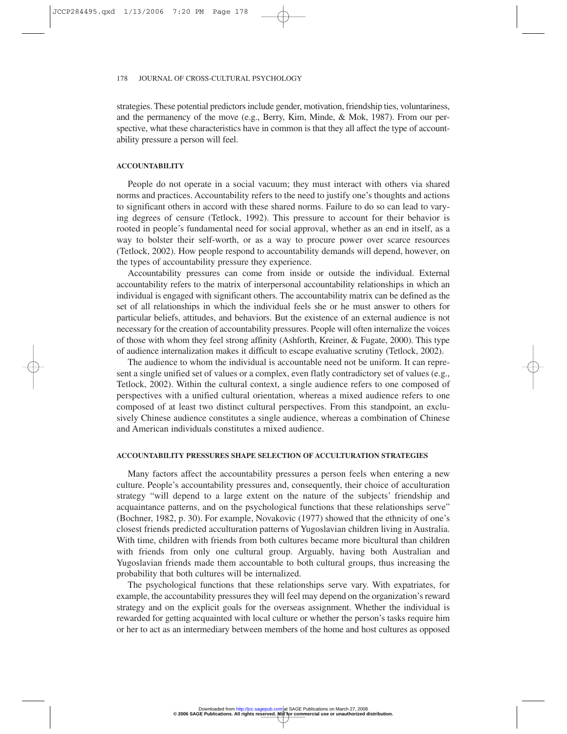strategies. These potential predictors include gender, motivation, friendship ties, voluntariness, and the permanency of the move (e.g., Berry, Kim, Minde, & Mok, 1987). From our perspective, what these characteristics have in common is that they all affect the type of accountability pressure a person will feel.

#### **ACCOUNTABILITY**

People do not operate in a social vacuum; they must interact with others via shared norms and practices. Accountability refers to the need to justify one's thoughts and actions to significant others in accord with these shared norms. Failure to do so can lead to varying degrees of censure (Tetlock, 1992). This pressure to account for their behavior is rooted in people's fundamental need for social approval, whether as an end in itself, as a way to bolster their self-worth, or as a way to procure power over scarce resources (Tetlock, 2002). How people respond to accountability demands will depend, however, on the types of accountability pressure they experience.

Accountability pressures can come from inside or outside the individual. External accountability refers to the matrix of interpersonal accountability relationships in which an individual is engaged with significant others. The accountability matrix can be defined as the set of all relationships in which the individual feels she or he must answer to others for particular beliefs, attitudes, and behaviors. But the existence of an external audience is not necessary for the creation of accountability pressures. People will often internalize the voices of those with whom they feel strong affinity (Ashforth, Kreiner, & Fugate, 2000). This type of audience internalization makes it difficult to escape evaluative scrutiny (Tetlock, 2002).

The audience to whom the individual is accountable need not be uniform. It can represent a single unified set of values or a complex, even flatly contradictory set of values (e.g., Tetlock, 2002). Within the cultural context, a single audience refers to one composed of perspectives with a unified cultural orientation, whereas a mixed audience refers to one composed of at least two distinct cultural perspectives. From this standpoint, an exclusively Chinese audience constitutes a single audience, whereas a combination of Chinese and American individuals constitutes a mixed audience.

#### **ACCOUNTABILITY PRESSURES SHAPE SELECTION OF ACCULTURATION STRATEGIES**

Many factors affect the accountability pressures a person feels when entering a new culture. People's accountability pressures and, consequently, their choice of acculturation strategy "will depend to a large extent on the nature of the subjects' friendship and acquaintance patterns, and on the psychological functions that these relationships serve" (Bochner, 1982, p. 30). For example, Novakovic (1977) showed that the ethnicity of one's closest friends predicted acculturation patterns of Yugoslavian children living in Australia. With time, children with friends from both cultures became more bicultural than children with friends from only one cultural group. Arguably, having both Australian and Yugoslavian friends made them accountable to both cultural groups, thus increasing the probability that both cultures will be internalized.

The psychological functions that these relationships serve vary. With expatriates, for example, the accountability pressures they will feel may depend on the organization's reward strategy and on the explicit goals for the overseas assignment. Whether the individual is rewarded for getting acquainted with local culture or whether the person's tasks require him or her to act as an intermediary between members of the home and host cultures as opposed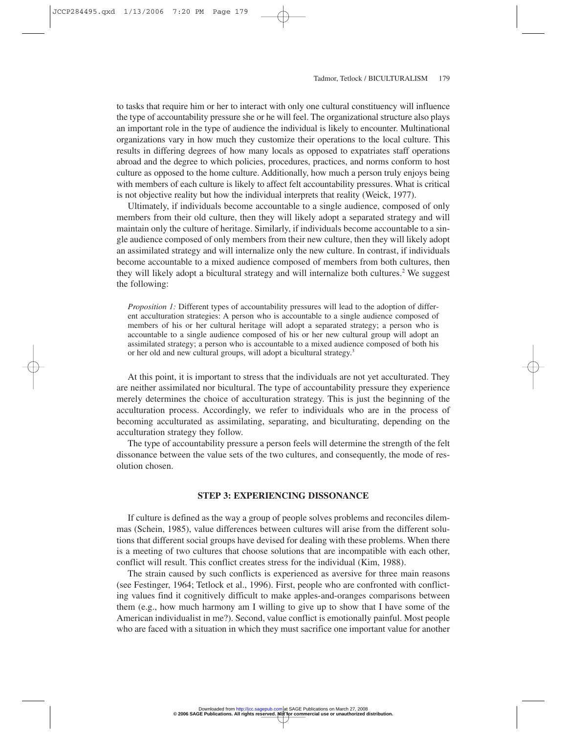to tasks that require him or her to interact with only one cultural constituency will influence the type of accountability pressure she or he will feel. The organizational structure also plays an important role in the type of audience the individual is likely to encounter. Multinational organizations vary in how much they customize their operations to the local culture. This results in differing degrees of how many locals as opposed to expatriates staff operations abroad and the degree to which policies, procedures, practices, and norms conform to host culture as opposed to the home culture. Additionally, how much a person truly enjoys being with members of each culture is likely to affect felt accountability pressures. What is critical is not objective reality but how the individual interprets that reality (Weick, 1977).

Ultimately, if individuals become accountable to a single audience, composed of only members from their old culture, then they will likely adopt a separated strategy and will maintain only the culture of heritage. Similarly, if individuals become accountable to a single audience composed of only members from their new culture, then they will likely adopt an assimilated strategy and will internalize only the new culture. In contrast, if individuals become accountable to a mixed audience composed of members from both cultures, then they will likely adopt a bicultural strategy and will internalize both cultures.<sup>2</sup> We suggest the following:

*Proposition 1:* Different types of accountability pressures will lead to the adoption of different acculturation strategies: A person who is accountable to a single audience composed of members of his or her cultural heritage will adopt a separated strategy; a person who is accountable to a single audience composed of his or her new cultural group will adopt an assimilated strategy; a person who is accountable to a mixed audience composed of both his or her old and new cultural groups, will adopt a bicultural strategy.<sup>3</sup>

At this point, it is important to stress that the individuals are not yet acculturated. They are neither assimilated nor bicultural. The type of accountability pressure they experience merely determines the choice of acculturation strategy. This is just the beginning of the acculturation process. Accordingly, we refer to individuals who are in the process of becoming acculturated as assimilating, separating, and biculturating, depending on the acculturation strategy they follow.

The type of accountability pressure a person feels will determine the strength of the felt dissonance between the value sets of the two cultures, and consequently, the mode of resolution chosen.

#### **STEP 3: EXPERIENCING DISSONANCE**

If culture is defined as the way a group of people solves problems and reconciles dilemmas (Schein, 1985), value differences between cultures will arise from the different solutions that different social groups have devised for dealing with these problems. When there is a meeting of two cultures that choose solutions that are incompatible with each other, conflict will result. This conflict creates stress for the individual (Kim, 1988).

The strain caused by such conflicts is experienced as aversive for three main reasons (see Festinger, 1964; Tetlock et al., 1996). First, people who are confronted with conflicting values find it cognitively difficult to make apples-and-oranges comparisons between them (e.g., how much harmony am I willing to give up to show that I have some of the American individualist in me?). Second, value conflict is emotionally painful. Most people who are faced with a situation in which they must sacrifice one important value for another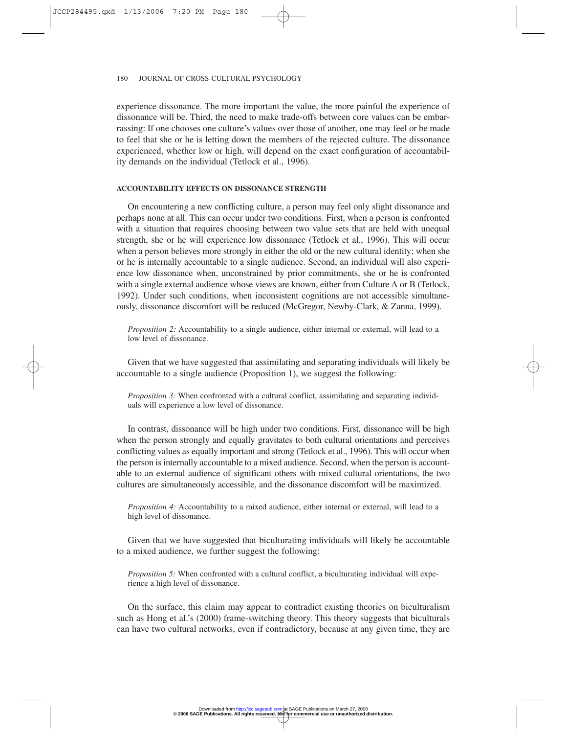experience dissonance. The more important the value, the more painful the experience of dissonance will be. Third, the need to make trade-offs between core values can be embarrassing: If one chooses one culture's values over those of another, one may feel or be made to feel that she or he is letting down the members of the rejected culture. The dissonance experienced, whether low or high, will depend on the exact configuration of accountability demands on the individual (Tetlock et al., 1996).

## **ACCOUNTABILITY EFFECTS ON DISSONANCE STRENGTH**

On encountering a new conflicting culture, a person may feel only slight dissonance and perhaps none at all. This can occur under two conditions. First, when a person is confronted with a situation that requires choosing between two value sets that are held with unequal strength, she or he will experience low dissonance (Tetlock et al., 1996). This will occur when a person believes more strongly in either the old or the new cultural identity; when she or he is internally accountable to a single audience. Second, an individual will also experience low dissonance when, unconstrained by prior commitments, she or he is confronted with a single external audience whose views are known, either from Culture A or B (Tetlock, 1992). Under such conditions, when inconsistent cognitions are not accessible simultaneously, dissonance discomfort will be reduced (McGregor, Newby-Clark, & Zanna, 1999).

*Proposition 2:* Accountability to a single audience, either internal or external, will lead to a low level of dissonance.

Given that we have suggested that assimilating and separating individuals will likely be accountable to a single audience (Proposition 1), we suggest the following:

*Proposition 3:* When confronted with a cultural conflict, assimilating and separating individuals will experience a low level of dissonance.

In contrast, dissonance will be high under two conditions. First, dissonance will be high when the person strongly and equally gravitates to both cultural orientations and perceives conflicting values as equally important and strong (Tetlock et al., 1996). This will occur when the person is internally accountable to a mixed audience. Second, when the person is accountable to an external audience of significant others with mixed cultural orientations, the two cultures are simultaneously accessible, and the dissonance discomfort will be maximized.

*Proposition 4:* Accountability to a mixed audience, either internal or external, will lead to a high level of dissonance.

Given that we have suggested that biculturating individuals will likely be accountable to a mixed audience, we further suggest the following:

*Proposition 5:* When confronted with a cultural conflict, a biculturating individual will experience a high level of dissonance.

On the surface, this claim may appear to contradict existing theories on biculturalism such as Hong et al.'s (2000) frame-switching theory. This theory suggests that biculturals can have two cultural networks, even if contradictory, because at any given time, they are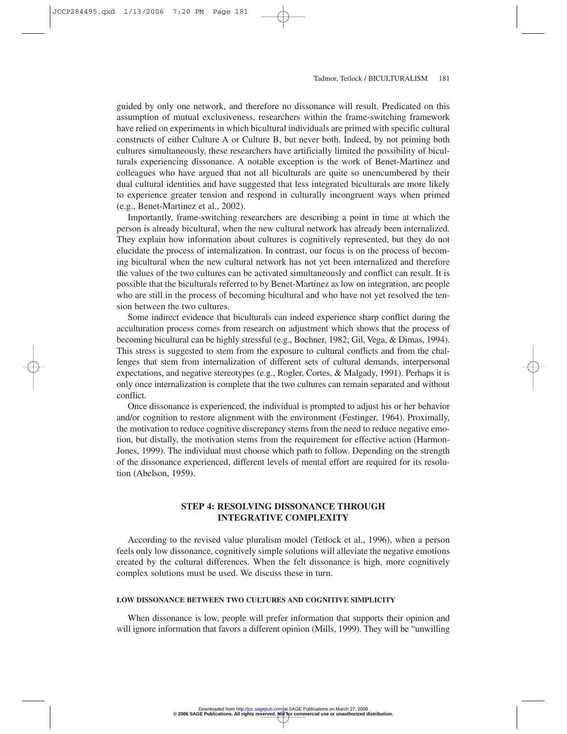#### Tadmor, Tetlock / BICULTURALISM 181

guided by only one network, and therefore no dissonance will result. Predicated on this assumption of mutual exclusiveness, researchers within the frame-switching framework have relied on experiments in which bicultural individuals are primed with specific cultural constructs of either Culture A or Culture B, but never both. Indeed, by not priming both cultures simultaneously, these researchers have artificially limited the possibility of biculturals experiencing dissonance. A notable exception is the work of Benet-Martinez and colleagues who have argued that not all biculturals are quite so unencumbered by their dual cultural identities and have suggested that less integrated biculturals are more likely to experience greater tension and respond in culturally incongruent ways when primed (e.g., Benet-Martinez et al., 2002).

Importantly, frame-switching researchers are describing a point in time at which the person is already bicultural, when the new cultural network has already been internalized. They explain how information about cultures is cognitively represented, but they do not elucidate the process of internalization. In contrast, our focus is on the process of becoming bicultural when the new cultural network has not yet been internalized and therefore the values of the two cultures can be activated simultaneously and conflict can result. It is possible that the biculturals referred to by Benet-Martinez as low on integration, are people who are still in the process of becoming bicultural and who have not yet resolved the tension between the two cultures.

Some indirect evidence that biculturals can indeed experience sharp conflict during the acculturation process comes from research on adjustment which shows that the process of becoming bicultural can be highly stressful (e.g., Bochner, 1982; Gil, Vega, & Dimas, 1994). This stress is suggested to stem from the exposure to cultural conflicts and from the challenges that stem from internalization of different sets of cultural demands, interpersonal expectations, and negative stereotypes (e.g., Rogler, Cortes, & Malgady, 1991). Perhaps it is only once internalization is complete that the two cultures can remain separated and without conflict.

Once dissonance is experienced, the individual is prompted to adjust his or her behavior and/or cognition to restore alignment with the environment (Festinger, 1964). Proximally, the motivation to reduce cognitive discrepancy stems from the need to reduce negative emotion, but distally, the motivation stems from the requirement for effective action (Harmon-Jones, 1999). The individual must choose which path to follow. Depending on the strength of the dissonance experienced, different levels of mental effort are required for its resolution (Abelson, 1959).

# **STEP 4: RESOLVING DISSONANCE THROUGH INTEGRATIVE COMPLEXITY**

According to the revised value pluralism model (Tetlock et al., 1996), when a person feels only low dissonance, cognitively simple solutions will alleviate the negative emotions created by the cultural differences. When the felt dissonance is high, more cognitively complex solutions must be used. We discuss these in turn.

#### **LOW DISSONANCE BETWEEN TWO CULTURES AND COGNITIVE SIMPLICITY**

When dissonance is low, people will prefer information that supports their opinion and will ignore information that favors a different opinion (Mills, 1999). They will be "unwilling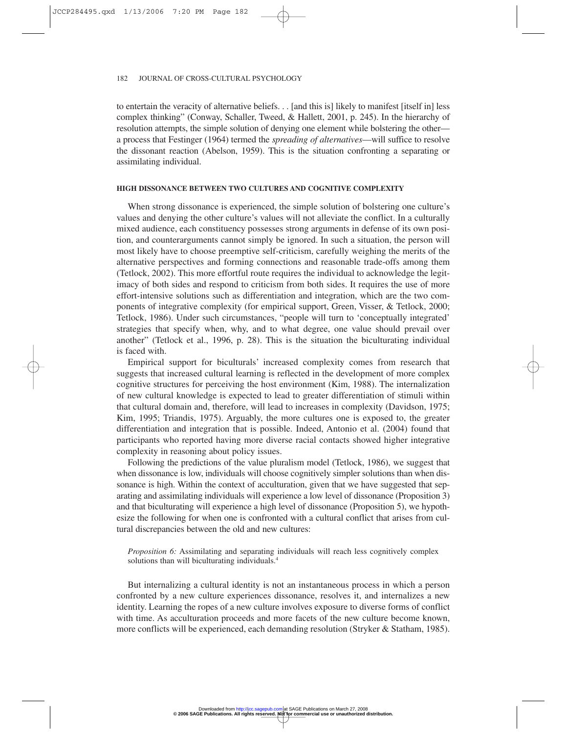to entertain the veracity of alternative beliefs. . . [and this is] likely to manifest [itself in] less complex thinking" (Conway, Schaller, Tweed, & Hallett, 2001, p. 245). In the hierarchy of resolution attempts, the simple solution of denying one element while bolstering the other a process that Festinger (1964) termed the *spreading of alternatives*—will suffice to resolve the dissonant reaction (Abelson, 1959). This is the situation confronting a separating or assimilating individual.

## **HIGH DISSONANCE BETWEEN TWO CULTURES AND COGNITIVE COMPLEXITY**

When strong dissonance is experienced, the simple solution of bolstering one culture's values and denying the other culture's values will not alleviate the conflict. In a culturally mixed audience, each constituency possesses strong arguments in defense of its own position, and counterarguments cannot simply be ignored. In such a situation, the person will most likely have to choose preemptive self-criticism, carefully weighing the merits of the alternative perspectives and forming connections and reasonable trade-offs among them (Tetlock, 2002). This more effortful route requires the individual to acknowledge the legitimacy of both sides and respond to criticism from both sides. It requires the use of more effort-intensive solutions such as differentiation and integration, which are the two components of integrative complexity (for empirical support, Green, Visser, & Tetlock, 2000; Tetlock, 1986). Under such circumstances, "people will turn to 'conceptually integrated' strategies that specify when, why, and to what degree, one value should prevail over another" (Tetlock et al., 1996, p. 28). This is the situation the biculturating individual is faced with.

Empirical support for biculturals' increased complexity comes from research that suggests that increased cultural learning is reflected in the development of more complex cognitive structures for perceiving the host environment (Kim, 1988). The internalization of new cultural knowledge is expected to lead to greater differentiation of stimuli within that cultural domain and, therefore, will lead to increases in complexity (Davidson, 1975; Kim, 1995; Triandis, 1975). Arguably, the more cultures one is exposed to, the greater differentiation and integration that is possible. Indeed, Antonio et al. (2004) found that participants who reported having more diverse racial contacts showed higher integrative complexity in reasoning about policy issues.

Following the predictions of the value pluralism model (Tetlock, 1986), we suggest that when dissonance is low, individuals will choose cognitively simpler solutions than when dissonance is high. Within the context of acculturation, given that we have suggested that separating and assimilating individuals will experience a low level of dissonance (Proposition 3) and that biculturating will experience a high level of dissonance (Proposition 5), we hypothesize the following for when one is confronted with a cultural conflict that arises from cultural discrepancies between the old and new cultures:

*Proposition 6:* Assimilating and separating individuals will reach less cognitively complex solutions than will biculturating individuals.<sup>4</sup>

But internalizing a cultural identity is not an instantaneous process in which a person confronted by a new culture experiences dissonance, resolves it, and internalizes a new identity. Learning the ropes of a new culture involves exposure to diverse forms of conflict with time. As acculturation proceeds and more facets of the new culture become known, more conflicts will be experienced, each demanding resolution (Stryker & Statham, 1985).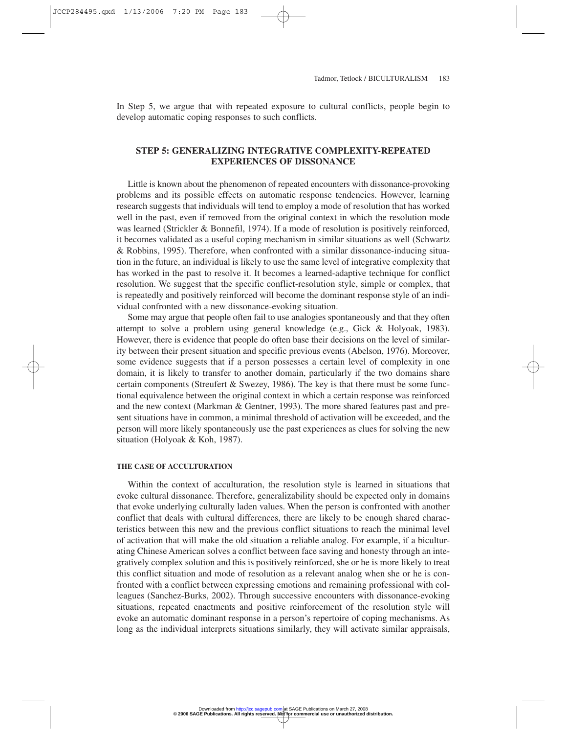In Step 5, we argue that with repeated exposure to cultural conflicts, people begin to develop automatic coping responses to such conflicts.

# **STEP 5: GENERALIZING INTEGRATIVE COMPLEXITY-REPEATED EXPERIENCES OF DISSONANCE**

Little is known about the phenomenon of repeated encounters with dissonance-provoking problems and its possible effects on automatic response tendencies. However, learning research suggests that individuals will tend to employ a mode of resolution that has worked well in the past, even if removed from the original context in which the resolution mode was learned (Strickler & Bonnefil, 1974). If a mode of resolution is positively reinforced, it becomes validated as a useful coping mechanism in similar situations as well (Schwartz & Robbins, 1995). Therefore, when confronted with a similar dissonance-inducing situation in the future, an individual is likely to use the same level of integrative complexity that has worked in the past to resolve it. It becomes a learned-adaptive technique for conflict resolution. We suggest that the specific conflict-resolution style, simple or complex, that is repeatedly and positively reinforced will become the dominant response style of an individual confronted with a new dissonance-evoking situation.

Some may argue that people often fail to use analogies spontaneously and that they often attempt to solve a problem using general knowledge (e.g., Gick & Holyoak, 1983). However, there is evidence that people do often base their decisions on the level of similarity between their present situation and specific previous events (Abelson, 1976). Moreover, some evidence suggests that if a person possesses a certain level of complexity in one domain, it is likely to transfer to another domain, particularly if the two domains share certain components (Streufert & Swezey, 1986). The key is that there must be some functional equivalence between the original context in which a certain response was reinforced and the new context (Markman & Gentner, 1993). The more shared features past and present situations have in common, a minimal threshold of activation will be exceeded, and the person will more likely spontaneously use the past experiences as clues for solving the new situation (Holyoak & Koh, 1987).

#### **THE CASE OF ACCULTURATION**

Within the context of acculturation, the resolution style is learned in situations that evoke cultural dissonance. Therefore, generalizability should be expected only in domains that evoke underlying culturally laden values. When the person is confronted with another conflict that deals with cultural differences, there are likely to be enough shared characteristics between this new and the previous conflict situations to reach the minimal level of activation that will make the old situation a reliable analog. For example, if a biculturating Chinese American solves a conflict between face saving and honesty through an integratively complex solution and this is positively reinforced, she or he is more likely to treat this conflict situation and mode of resolution as a relevant analog when she or he is confronted with a conflict between expressing emotions and remaining professional with colleagues (Sanchez-Burks, 2002). Through successive encounters with dissonance-evoking situations, repeated enactments and positive reinforcement of the resolution style will evoke an automatic dominant response in a person's repertoire of coping mechanisms. As long as the individual interprets situations similarly, they will activate similar appraisals,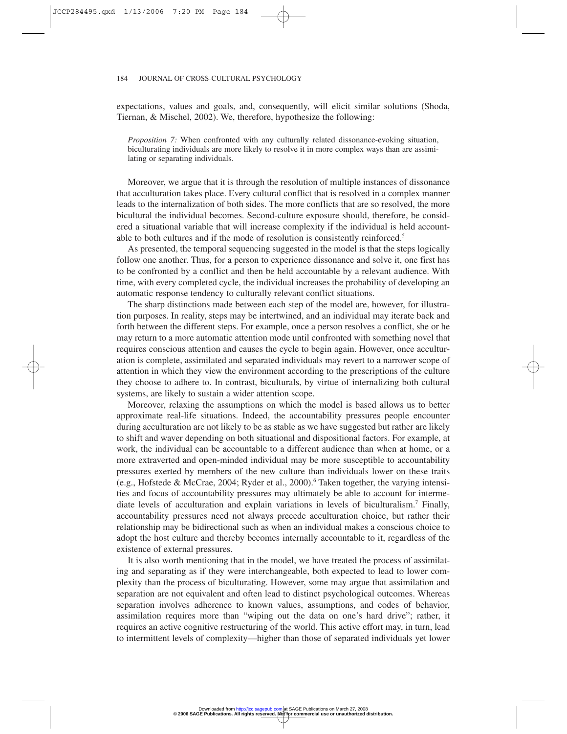expectations, values and goals, and, consequently, will elicit similar solutions (Shoda, Tiernan, & Mischel, 2002). We, therefore, hypothesize the following:

*Proposition 7:* When confronted with any culturally related dissonance-evoking situation, biculturating individuals are more likely to resolve it in more complex ways than are assimilating or separating individuals.

Moreover, we argue that it is through the resolution of multiple instances of dissonance that acculturation takes place. Every cultural conflict that is resolved in a complex manner leads to the internalization of both sides. The more conflicts that are so resolved, the more bicultural the individual becomes. Second-culture exposure should, therefore, be considered a situational variable that will increase complexity if the individual is held accountable to both cultures and if the mode of resolution is consistently reinforced.<sup>5</sup>

As presented, the temporal sequencing suggested in the model is that the steps logically follow one another. Thus, for a person to experience dissonance and solve it, one first has to be confronted by a conflict and then be held accountable by a relevant audience. With time, with every completed cycle, the individual increases the probability of developing an automatic response tendency to culturally relevant conflict situations.

The sharp distinctions made between each step of the model are, however, for illustration purposes. In reality, steps may be intertwined, and an individual may iterate back and forth between the different steps. For example, once a person resolves a conflict, she or he may return to a more automatic attention mode until confronted with something novel that requires conscious attention and causes the cycle to begin again. However, once acculturation is complete, assimilated and separated individuals may revert to a narrower scope of attention in which they view the environment according to the prescriptions of the culture they choose to adhere to. In contrast, biculturals, by virtue of internalizing both cultural systems, are likely to sustain a wider attention scope.

Moreover, relaxing the assumptions on which the model is based allows us to better approximate real-life situations. Indeed, the accountability pressures people encounter during acculturation are not likely to be as stable as we have suggested but rather are likely to shift and waver depending on both situational and dispositional factors. For example, at work, the individual can be accountable to a different audience than when at home, or a more extraverted and open-minded individual may be more susceptible to accountability pressures exerted by members of the new culture than individuals lower on these traits (e.g., Hofstede & McCrae, 2004; Ryder et al., 2000).<sup>6</sup> Taken together, the varying intensities and focus of accountability pressures may ultimately be able to account for intermediate levels of acculturation and explain variations in levels of biculturalism.7 Finally, accountability pressures need not always precede acculturation choice, but rather their relationship may be bidirectional such as when an individual makes a conscious choice to adopt the host culture and thereby becomes internally accountable to it, regardless of the existence of external pressures.

It is also worth mentioning that in the model, we have treated the process of assimilating and separating as if they were interchangeable, both expected to lead to lower complexity than the process of biculturating. However, some may argue that assimilation and separation are not equivalent and often lead to distinct psychological outcomes. Whereas separation involves adherence to known values, assumptions, and codes of behavior, assimilation requires more than "wiping out the data on one's hard drive"; rather, it requires an active cognitive restructuring of the world. This active effort may, in turn, lead to intermittent levels of complexity—higher than those of separated individuals yet lower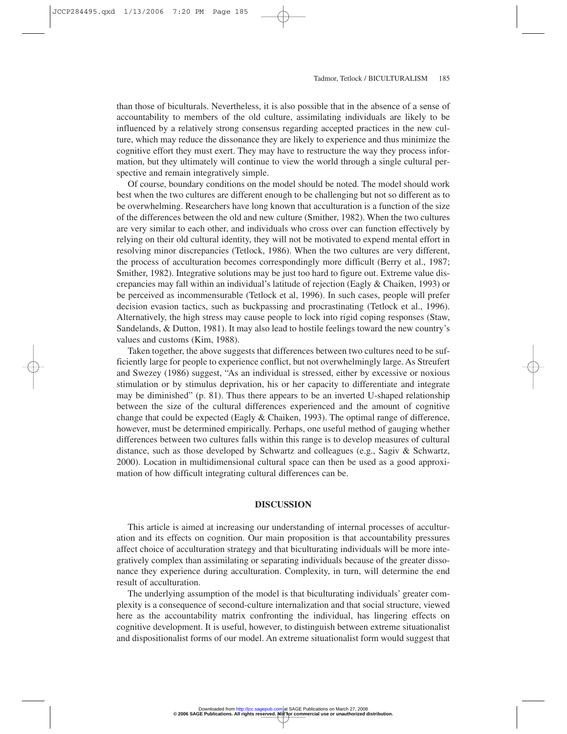than those of biculturals. Nevertheless, it is also possible that in the absence of a sense of accountability to members of the old culture, assimilating individuals are likely to be influenced by a relatively strong consensus regarding accepted practices in the new culture, which may reduce the dissonance they are likely to experience and thus minimize the cognitive effort they must exert. They may have to restructure the way they process information, but they ultimately will continue to view the world through a single cultural perspective and remain integratively simple.

Of course, boundary conditions on the model should be noted. The model should work best when the two cultures are different enough to be challenging but not so different as to be overwhelming. Researchers have long known that acculturation is a function of the size of the differences between the old and new culture (Smither, 1982). When the two cultures are very similar to each other, and individuals who cross over can function effectively by relying on their old cultural identity, they will not be motivated to expend mental effort in resolving minor discrepancies (Tetlock, 1986). When the two cultures are very different, the process of acculturation becomes correspondingly more difficult (Berry et al., 1987; Smither, 1982). Integrative solutions may be just too hard to figure out. Extreme value discrepancies may fall within an individual's latitude of rejection (Eagly & Chaiken, 1993) or be perceived as incommensurable (Tetlock et al, 1996). In such cases, people will prefer decision evasion tactics, such as buckpassing and procrastinating (Tetlock et al., 1996). Alternatively, the high stress may cause people to lock into rigid coping responses (Staw, Sandelands, & Dutton, 1981). It may also lead to hostile feelings toward the new country's values and customs (Kim, 1988).

Taken together, the above suggests that differences between two cultures need to be sufficiently large for people to experience conflict, but not overwhelmingly large. As Streufert and Swezey (1986) suggest, "As an individual is stressed, either by excessive or noxious stimulation or by stimulus deprivation, his or her capacity to differentiate and integrate may be diminished" (p. 81). Thus there appears to be an inverted U-shaped relationship between the size of the cultural differences experienced and the amount of cognitive change that could be expected (Eagly & Chaiken, 1993). The optimal range of difference, however, must be determined empirically. Perhaps, one useful method of gauging whether differences between two cultures falls within this range is to develop measures of cultural distance, such as those developed by Schwartz and colleagues (e.g., Sagiv & Schwartz, 2000). Location in multidimensional cultural space can then be used as a good approximation of how difficult integrating cultural differences can be.

### **DISCUSSION**

This article is aimed at increasing our understanding of internal processes of acculturation and its effects on cognition. Our main proposition is that accountability pressures affect choice of acculturation strategy and that biculturating individuals will be more integratively complex than assimilating or separating individuals because of the greater dissonance they experience during acculturation. Complexity, in turn, will determine the end result of acculturation.

The underlying assumption of the model is that biculturating individuals' greater complexity is a consequence of second-culture internalization and that social structure, viewed here as the accountability matrix confronting the individual, has lingering effects on cognitive development. It is useful, however, to distinguish between extreme situationalist and dispositionalist forms of our model. An extreme situationalist form would suggest that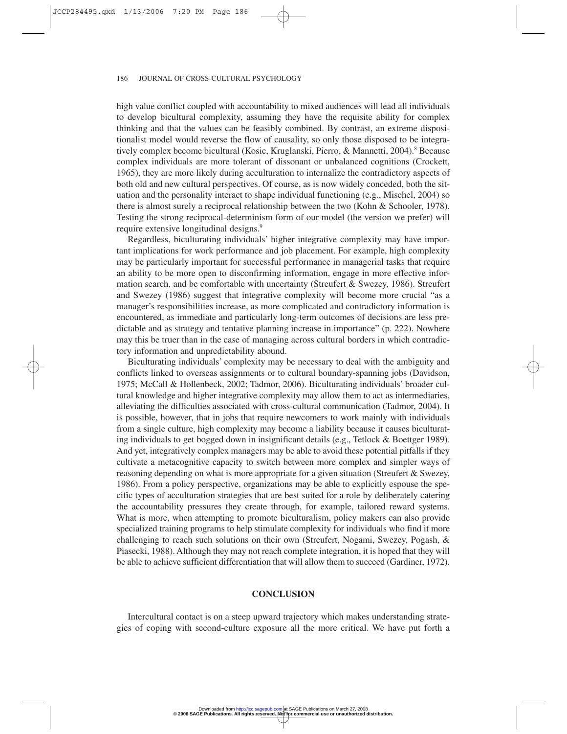high value conflict coupled with accountability to mixed audiences will lead all individuals to develop bicultural complexity, assuming they have the requisite ability for complex thinking and that the values can be feasibly combined. By contrast, an extreme dispositionalist model would reverse the flow of causality, so only those disposed to be integratively complex become bicultural (Kosic, Kruglanski, Pierro, & Mannetti, 2004).<sup>8</sup> Because complex individuals are more tolerant of dissonant or unbalanced cognitions (Crockett, 1965), they are more likely during acculturation to internalize the contradictory aspects of both old and new cultural perspectives. Of course, as is now widely conceded, both the situation and the personality interact to shape individual functioning (e.g., Mischel, 2004) so there is almost surely a reciprocal relationship between the two (Kohn & Schooler, 1978). Testing the strong reciprocal-determinism form of our model (the version we prefer) will require extensive longitudinal designs.<sup>9</sup>

Regardless, biculturating individuals' higher integrative complexity may have important implications for work performance and job placement. For example, high complexity may be particularly important for successful performance in managerial tasks that require an ability to be more open to disconfirming information, engage in more effective information search, and be comfortable with uncertainty (Streufert & Swezey, 1986). Streufert and Swezey (1986) suggest that integrative complexity will become more crucial "as a manager's responsibilities increase, as more complicated and contradictory information is encountered, as immediate and particularly long-term outcomes of decisions are less predictable and as strategy and tentative planning increase in importance" (p. 222). Nowhere may this be truer than in the case of managing across cultural borders in which contradictory information and unpredictability abound.

Biculturating individuals' complexity may be necessary to deal with the ambiguity and conflicts linked to overseas assignments or to cultural boundary-spanning jobs (Davidson, 1975; McCall & Hollenbeck, 2002; Tadmor, 2006). Biculturating individuals' broader cultural knowledge and higher integrative complexity may allow them to act as intermediaries, alleviating the difficulties associated with cross-cultural communication (Tadmor, 2004). It is possible, however, that in jobs that require newcomers to work mainly with individuals from a single culture, high complexity may become a liability because it causes biculturating individuals to get bogged down in insignificant details (e.g., Tetlock & Boettger 1989). And yet, integratively complex managers may be able to avoid these potential pitfalls if they cultivate a metacognitive capacity to switch between more complex and simpler ways of reasoning depending on what is more appropriate for a given situation (Streufert & Swezey, 1986). From a policy perspective, organizations may be able to explicitly espouse the specific types of acculturation strategies that are best suited for a role by deliberately catering the accountability pressures they create through, for example, tailored reward systems. What is more, when attempting to promote biculturalism, policy makers can also provide specialized training programs to help stimulate complexity for individuals who find it more challenging to reach such solutions on their own (Streufert, Nogami, Swezey, Pogash, & Piasecki, 1988). Although they may not reach complete integration, it is hoped that they will be able to achieve sufficient differentiation that will allow them to succeed (Gardiner, 1972).

# **CONCLUSION**

Intercultural contact is on a steep upward trajectory which makes understanding strategies of coping with second-culture exposure all the more critical. We have put forth a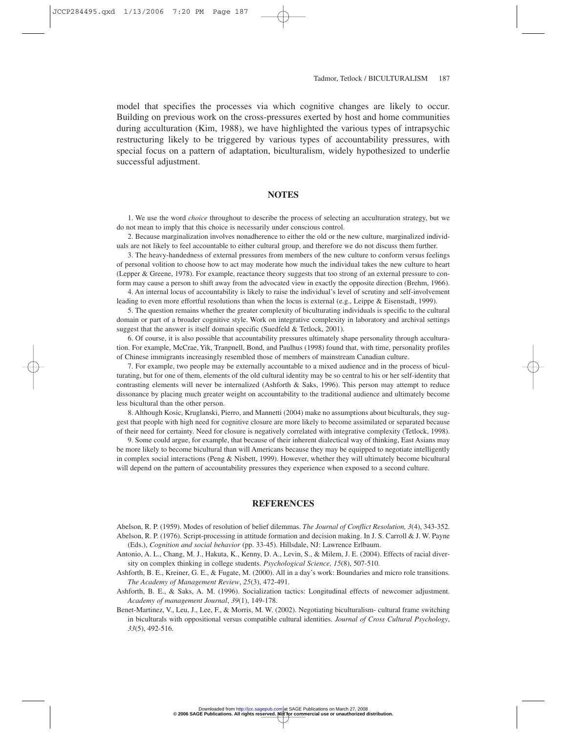model that specifies the processes via which cognitive changes are likely to occur. Building on previous work on the cross-pressures exerted by host and home communities during acculturation (Kim, 1988), we have highlighted the various types of intrapsychic restructuring likely to be triggered by various types of accountability pressures, with special focus on a pattern of adaptation, biculturalism, widely hypothesized to underlie successful adjustment.

#### **NOTES**

1. We use the word *choice* throughout to describe the process of selecting an acculturation strategy, but we do not mean to imply that this choice is necessarily under conscious control.

2. Because marginalization involves nonadherence to either the old or the new culture, marginalized individuals are not likely to feel accountable to either cultural group, and therefore we do not discuss them further.

3. The heavy-handedness of external pressures from members of the new culture to conform versus feelings of personal volition to choose how to act may moderate how much the individual takes the new culture to heart (Lepper & Greene, 1978). For example, reactance theory suggests that too strong of an external pressure to conform may cause a person to shift away from the advocated view in exactly the opposite direction (Brehm, 1966).

4. An internal locus of accountability is likely to raise the individual's level of scrutiny and self-involvement leading to even more effortful resolutions than when the locus is external (e.g., Leippe & Eisenstadt, 1999).

5. The question remains whether the greater complexity of biculturating individuals is specific to the cultural domain or part of a broader cognitive style. Work on integrative complexity in laboratory and archival settings suggest that the answer is itself domain specific (Suedfeld & Tetlock, 2001).

6. Of course, it is also possible that accountability pressures ultimately shape personality through acculturation. For example, McCrae, Yik, Tranpnell, Bond, and Paulhus (1998) found that, with time, personality profiles of Chinese immigrants increasingly resembled those of members of mainstream Canadian culture.

7. For example, two people may be externally accountable to a mixed audience and in the process of biculturating, but for one of them, elements of the old cultural identity may be so central to his or her self-identity that contrasting elements will never be internalized (Ashforth & Saks, 1996). This person may attempt to reduce dissonance by placing much greater weight on accountability to the traditional audience and ultimately become less bicultural than the other person.

8. Although Kosic, Kruglanski, Pierro, and Mannetti (2004) make no assumptions about biculturals, they suggest that people with high need for cognitive closure are more likely to become assimilated or separated because of their need for certainty. Need for closure is negatively correlated with integrative complexity (Tetlock, 1998).

9. Some could argue, for example, that because of their inherent dialectical way of thinking, East Asians may be more likely to become bicultural than will Americans because they may be equipped to negotiate intelligently in complex social interactions (Peng & Nisbett, 1999). However, whether they will ultimately become bicultural will depend on the pattern of accountability pressures they experience when exposed to a second culture.

#### **REFERENCES**

Abelson, R. P. (1959). Modes of resolution of belief dilemmas. *The Journal of Conflict Resolution, 3*(4), 343-352. Abelson, R. P. (1976). Script-processing in attitude formation and decision making. In J. S. Carroll & J. W. Payne

- (Eds.), *Cognition and social behavior* (pp. 33-45). Hillsdale, NJ: Lawrence Erlbaum.
- Antonio, A. L., Chang, M. J., Hakuta, K., Kenny, D. A., Levin, S., & Milem, J. E. (2004). Effects of racial diversity on complex thinking in college students. *Psychological Science, 15*(8), 507-510.
- Ashforth, B. E., Kreiner, G. E., & Fugate, M. (2000). All in a day's work: Boundaries and micro role transitions. *The Academy of Management Review*, *25*(3), 472-491.
- Ashforth, B. E., & Saks, A. M. (1996). Socialization tactics: Longitudinal effects of newcomer adjustment. *Academy of management Journal*, *39*(1), 149-178.
- Benet-Martinez, V., Leu, J., Lee, F., & Morris, M. W. (2002). Negotiating biculturalism- cultural frame switching in biculturals with oppositional versus compatible cultural identities. *Journal of Cross Cultural Psychology*, *33*(5), 492-516.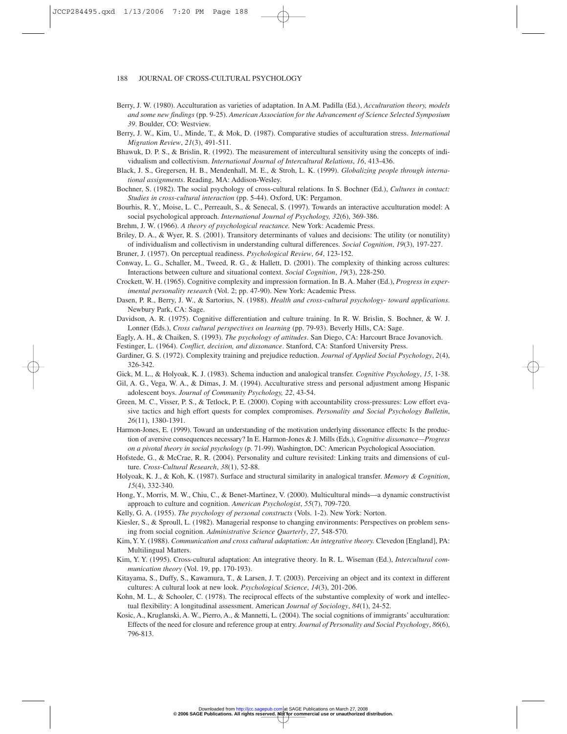- Berry, J. W. (1980). Acculturation as varieties of adaptation. In A.M. Padilla (Ed.), *Acculturation theory, models and some new findings* (pp. 9-25). *American Association for the Advancement of Science Selected Symposium 39*. Boulder, CO: Westview.
- Berry, J. W., Kim, U., Minde, T., & Mok, D. (1987). Comparative studies of acculturation stress. *International Migration Review*, *21*(3), 491-511.
- Bhawuk, D. P. S., & Brislin, R. (1992). The measurement of intercultural sensitivity using the concepts of individualism and collectivism. *International Journal of Intercultural Relations*, *16*, 413-436.
- Black, J. S., Gregersen, H. B., Mendenhall, M. E., & Stroh, L. K. (1999). *Globalizing people through international assignments*. Reading, MA: Addison-Wesley.

Bochner, S. (1982). The social psychology of cross-cultural relations. In S. Bochner (Ed.), *Cultures in contact: Studies in cross-cultural interaction* (pp. 5-44). Oxford, UK: Pergamon.

- Bourhis, R. Y., Moise, L. C., Perreault, S., & Senecal, S. (1997). Towards an interactive acculturation model: A social psychological approach. *International Journal of Psychology, 32*(6), 369-386.
- Brehm, J. W. (1966). *A theory of psychological reactance.* New York: Academic Press.
- Briley, D. A., & Wyer, R. S. (2001). Transitory determinants of values and decisions: The utility (or nonutility) of individualism and collectivism in understanding cultural differences. *Social Cognition*, *19*(3), 197-227.
- Bruner, J. (1957). On perceptual readiness. *Psychological Review*, *64*, 123-152.
- Conway, L. G., Schaller, M., Tweed, R. G., & Hallett, D. (2001). The complexity of thinking across cultures: Interactions between culture and situational context. *Social Cognition*, *19*(3), 228-250.
- Crockett, W. H. (1965). Cognitive complexity and impression formation. In B. A. Maher (Ed.), *Progress in experimental personality research* (Vol. 2; pp. 47-90). New York: Academic Press.
- Dasen, P. R., Berry, J. W., & Sartorius, N. (1988). *Health and cross-cultural psychology- toward applications*. Newbury Park, CA: Sage.
- Davidson, A. R. (1975). Cognitive differentiation and culture training. In R. W. Brislin, S. Bochner, & W. J. Lonner (Eds.), *Cross cultural perspectives on learning* (pp. 79-93). Beverly Hills, CA: Sage.
- Eagly, A. H., & Chaiken, S. (1993). *The psychology of attitudes*. San Diego, CA: Harcourt Brace Jovanovich.
- Festinger, L. (1964). *Conflict, decision, and dissonance*. Stanford, CA: Stanford University Press.
- Gardiner, G. S. (1972). Complexity training and prejudice reduction. *Journal of Applied Social Psychology*, *2*(4), 326-342.

Gick, M. L., & Holyoak, K. J. (1983). Schema induction and analogical transfer. *Cognitive Psychology*, *15*, 1-38.

- Gil, A. G., Vega, W. A., & Dimas, J. M. (1994). Acculturative stress and personal adjustment among Hispanic adolescent boys. *Journal of Community Psychology, 22*, 43-54.
- Green, M. C., Visser, P. S., & Tetlock, P. E. (2000). Coping with accountability cross-pressures: Low effort evasive tactics and high effort quests for complex compromises. *Personality and Social Psychology Bulletin*, *26*(11), 1380-1391.
- Harmon-Jones, E. (1999). Toward an understanding of the motivation underlying dissonance effects: Is the production of aversive consequences necessary? In E. Harmon-Jones & J. Mills (Eds.), *Cognitive dissonance—Progress on a pivotal theory in social psychology* (p. 71-99). Washington, DC: American Psychological Association.
- Hofstede, G., & McCrae, R. R. (2004). Personality and culture revisited: Linking traits and dimensions of culture. *Cross-Cultural Research*, *38*(1), 52-88.
- Holyoak, K. J., & Koh, K. (1987). Surface and structural similarity in analogical transfer. *Memory & Cognition*, *15*(4), 332-340.
- Hong, Y., Morris, M. W., Chiu, C., & Benet-Martinez, V. (2000). Multicultural minds—a dynamic constructivist approach to culture and cognition. *American Psychologist*, *55*(7), 709-720.

Kelly, G. A. (1955). *The psychology of personal constructs* (Vols. 1-2). New York: Norton.

- Kiesler, S., & Sproull, L. (1982). Managerial response to changing environments: Perspectives on problem sensing from social cognition. *Administrative Science Quarterly*, *27*, 548-570.
- Kim, Y. Y. (1988). *Communication and cross cultural adaptation: An integrative theory.* Clevedon [England], PA: Multilingual Matters.
- Kim, Y. Y. (1995). Cross-cultural adaptation: An integrative theory. In R. L. Wiseman (Ed.), *Intercultural communication theory* (Vol. 19, pp. 170-193).
- Kitayama, S., Duffy, S., Kawamura, T., & Larsen, J. T. (2003). Perceiving an object and its context in different cultures: A cultural look at new look. *Psychological Science*, *14*(3), 201-206.
- Kohn, M. L., & Schooler, C. (1978). The reciprocal effects of the substantive complexity of work and intellectual flexibility: A longitudinal assessment. American *Journal of Sociology*, *84*(1), 24-52.
- Kosic, A., Kruglanski, A. W., Pierro, A., & Mannetti, L. (2004). The social cognitions of immigrants' acculturation: Effects of the need for closure and reference group at entry. *Journal of Personality and Social Psychology*, *86*(6), 796-813.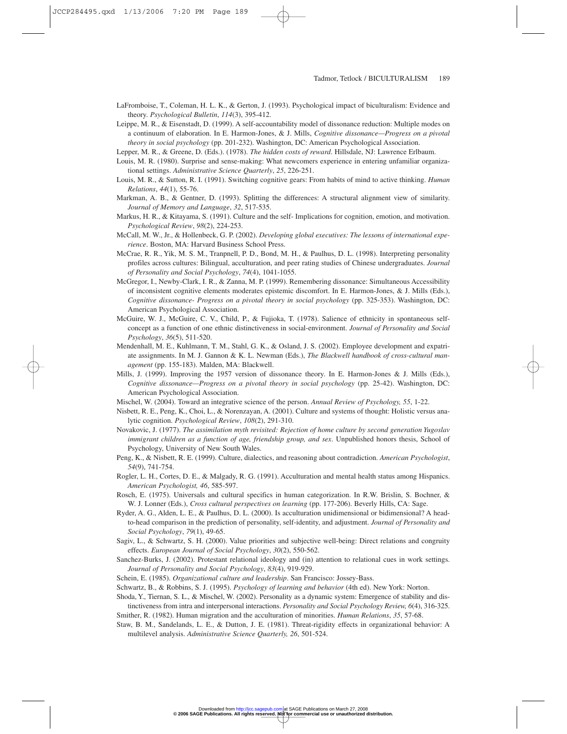- LaFromboise, T., Coleman, H. L. K., & Gerton, J. (1993). Psychological impact of biculturalism: Evidence and theory. *Psychological Bulletin*, *114*(3), 395-412.
- Leippe, M. R., & Eisenstadt, D. (1999). A self-accountability model of dissonance reduction: Multiple modes on a continuum of elaboration. In E. Harmon-Jones, & J. Mills, *Cognitive dissonance—Progress on a pivotal theory in social psychology* (pp. 201-232). Washington, DC: American Psychological Association.
- Lepper, M. R., & Greene, D. (Eds.). (1978). *The hidden costs of reward*. Hillsdale, NJ: Lawrence Erlbaum.
- Louis, M. R. (1980). Surprise and sense-making: What newcomers experience in entering unfamiliar organizational settings. *Administrative Science Quarterly*, *25*, 226-251.
- Louis, M. R., & Sutton, R. I. (1991). Switching cognitive gears: From habits of mind to active thinking. *Human Relations*, *44*(1), 55-76.
- Markman, A. B., & Gentner, D. (1993). Splitting the differences: A structural alignment view of similarity. *Journal of Memory and Language*, *32*, 517-535.
- Markus, H. R., & Kitayama, S. (1991). Culture and the self- Implications for cognition, emotion, and motivation. *Psychological Review*, *98*(2), 224-253.
- McCall, M. W., Jr., & Hollenbeck, G. P. (2002). *Developing global executives: The lessons of international experience*. Boston, MA: Harvard Business School Press.
- McCrae, R. R., Yik, M. S. M., Tranpnell, P. D., Bond, M. H., & Paulhus, D. L. (1998). Interpreting personality profiles across cultures: Bilingual, acculturation, and peer rating studies of Chinese undergraduates. *Journal of Personality and Social Psychology*, *74*(4), 1041-1055.
- McGregor, I., Newby-Clark, I. R., & Zanna, M. P. (1999). Remembering dissonance: Simultaneous Accessibility of inconsistent cognitive elements moderates epistemic discomfort. In E. Harmon-Jones, & J. Mills (Eds.), *Cognitive dissonance- Progress on a pivotal theory in social psychology* (pp. 325-353). Washington, DC: American Psychological Association.
- McGuire, W. J., McGuire, C. V., Child, P., & Fujioka, T. (1978). Salience of ethnicity in spontaneous selfconcept as a function of one ethnic distinctiveness in social-environment. *Journal of Personality and Social Psychology*, *36*(5), 511-520.
- Mendenhall, M. E., Kuhlmann, T. M., Stahl, G. K., & Osland, J. S. (2002). Employee development and expatriate assignments. In M. J. Gannon & K. L. Newman (Eds.), *The Blackwell handbook of cross-cultural management* (pp. 155-183). Malden, MA: Blackwell.
- Mills, J. (1999). Improving the 1957 version of dissonance theory. In E. Harmon-Jones & J. Mills (Eds.), *Cognitive dissonance—Progress on a pivotal theory in social psychology* (pp. 25-42). Washington, DC: American Psychological Association.
- Mischel, W. (2004). Toward an integrative science of the person. *Annual Review of Psychology, 55*, 1-22.
- Nisbett, R. E., Peng, K., Choi, L., & Norenzayan, A. (2001). Culture and systems of thought: Holistic versus analytic cognition. *Psychological Review*, *108*(2), 291-310.
- Novakovic, J. (1977). *The assimilation myth revisited: Rejection of home culture by second generation Yugoslav immigrant children as a function of age, friendship group, and sex*. Unpublished honors thesis, School of Psychology, University of New South Wales.
- Peng, K., & Nisbett, R. E. (1999). Culture, dialectics, and reasoning about contradiction. *American Psychologist*, *54*(9), 741-754.
- Rogler, L. H., Cortes, D. E., & Malgady, R. G. (1991). Acculturation and mental health status among Hispanics. *American Psychologist, 46*, 585-597.
- Rosch, E. (1975). Universals and cultural specifics in human categorization. In R.W. Brislin, S. Bochner, & W. J. Lonner (Eds.), *Cross cultural perspectives on learning* (pp. 177-206). Beverly Hills, CA: Sage.
- Ryder, A. G., Alden, L. E., & Paulhus, D. L. (2000). Is acculturation unidimensional or bidimensional? A headto-head comparison in the prediction of personality, self-identity, and adjustment. *Journal of Personality and Social Psychology*, *79*(1), 49-65.
- Sagiv, L., & Schwartz, S. H. (2000). Value priorities and subjective well-being: Direct relations and congruity effects. *European Journal of Social Psychology*, *30*(2), 550-562.
- Sanchez-Burks, J. (2002). Protestant relational ideology and (in) attention to relational cues in work settings. *Journal of Personality and Social Psychology*, *83*(4), 919-929.
- Schein, E. (1985). *Organizational culture and leadership*. San Francisco: Jossey-Bass.
- Schwartz, B., & Robbins, S. J. (1995). *Psychology of learning and behavior* (4th ed). New York: Norton.
- Shoda, Y., Tiernan, S. L., & Mischel, W. (2002). Personality as a dynamic system: Emergence of stability and distinctiveness from intra and interpersonal interactions. *Personality and Social Psychology Review, 6*(4), 316-325. Smither, R. (1982). Human migration and the acculturation of minorities. *Human Relations*, *35*, 57-68.
- Staw, B. M., Sandelands, L. E., & Dutton, J. E. (1981). Threat-rigidity effects in organizational behavior: A multilevel analysis. *Administrative Science Quarterly, 26*, 501-524.